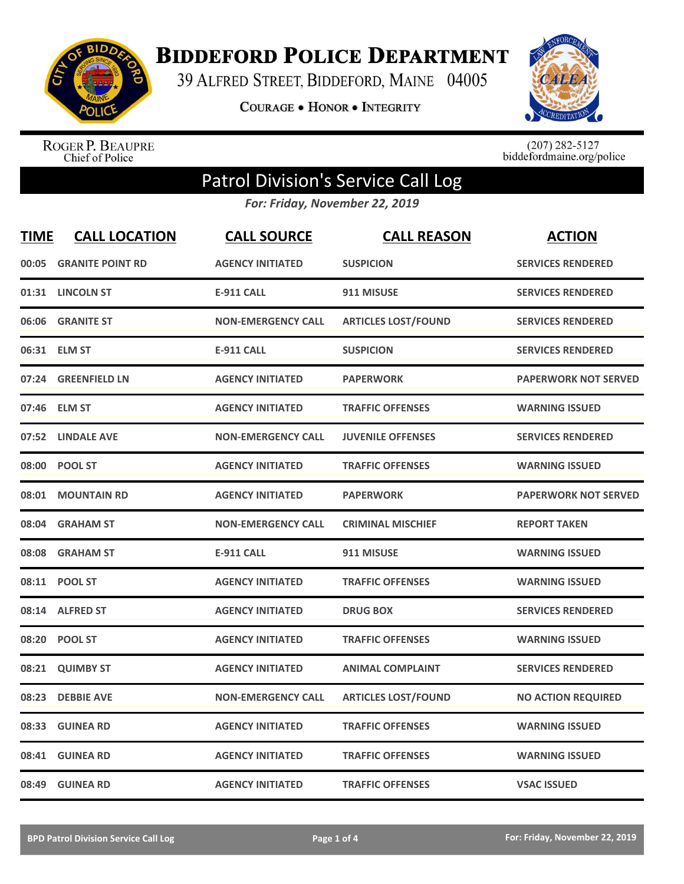

**BIDDEFORD POLICE DEPARTMENT** 

39 ALFRED STREET, BIDDEFORD, MAINE 04005

COURAGE . HONOR . INTEGRITY



ROGER P. BEAUPRE<br>Chief of Police

 $(207)$  282-5127<br>biddefordmaine.org/police

## Patrol Division's Service Call Log

*For: Friday, November 22, 2019*

| <b>TIME</b> | <b>CALL LOCATION</b>    | <b>CALL SOURCE</b>        | <b>CALL REASON</b>         | <b>ACTION</b>               |
|-------------|-------------------------|---------------------------|----------------------------|-----------------------------|
| 00:05       | <b>GRANITE POINT RD</b> | <b>AGENCY INITIATED</b>   | <b>SUSPICION</b>           | <b>SERVICES RENDERED</b>    |
| 01:31       | <b>LINCOLN ST</b>       | <b>E-911 CALL</b>         | 911 MISUSE                 | <b>SERVICES RENDERED</b>    |
| 06:06       | <b>GRANITE ST</b>       | <b>NON-EMERGENCY CALL</b> | <b>ARTICLES LOST/FOUND</b> | <b>SERVICES RENDERED</b>    |
| 06:31       | <b>ELM ST</b>           | <b>E-911 CALL</b>         | <b>SUSPICION</b>           | <b>SERVICES RENDERED</b>    |
| 07:24       | <b>GREENFIELD LN</b>    | <b>AGENCY INITIATED</b>   | <b>PAPERWORK</b>           | <b>PAPERWORK NOT SERVED</b> |
|             | 07:46 ELM ST            | <b>AGENCY INITIATED</b>   | <b>TRAFFIC OFFENSES</b>    | <b>WARNING ISSUED</b>       |
| 07:52       | <b>LINDALE AVE</b>      | <b>NON-EMERGENCY CALL</b> | <b>JUVENILE OFFENSES</b>   | <b>SERVICES RENDERED</b>    |
| 08:00       | <b>POOL ST</b>          | <b>AGENCY INITIATED</b>   | <b>TRAFFIC OFFENSES</b>    | <b>WARNING ISSUED</b>       |
| 08:01       | <b>MOUNTAIN RD</b>      | <b>AGENCY INITIATED</b>   | <b>PAPERWORK</b>           | <b>PAPERWORK NOT SERVED</b> |
| 08:04       | <b>GRAHAM ST</b>        | <b>NON-EMERGENCY CALL</b> | <b>CRIMINAL MISCHIEF</b>   | <b>REPORT TAKEN</b>         |
|             | 08:08 GRAHAM ST         | <b>E-911 CALL</b>         | 911 MISUSE                 | <b>WARNING ISSUED</b>       |
|             | 08:11 POOL ST           | <b>AGENCY INITIATED</b>   | <b>TRAFFIC OFFENSES</b>    | <b>WARNING ISSUED</b>       |
| 08:14       | <b>ALFRED ST</b>        | <b>AGENCY INITIATED</b>   | <b>DRUG BOX</b>            | <b>SERVICES RENDERED</b>    |
| 08:20       | <b>POOL ST</b>          | <b>AGENCY INITIATED</b>   | <b>TRAFFIC OFFENSES</b>    | <b>WARNING ISSUED</b>       |
| 08:21       | <b>QUIMBY ST</b>        | <b>AGENCY INITIATED</b>   | <b>ANIMAL COMPLAINT</b>    | <b>SERVICES RENDERED</b>    |
| 08:23       | <b>DEBBIE AVE</b>       | <b>NON-EMERGENCY CALL</b> | <b>ARTICLES LOST/FOUND</b> | <b>NO ACTION REQUIRED</b>   |
| 08:33       | <b>GUINEA RD</b>        | <b>AGENCY INITIATED</b>   | <b>TRAFFIC OFFENSES</b>    | <b>WARNING ISSUED</b>       |
| 08:41       | <b>GUINEA RD</b>        | <b>AGENCY INITIATED</b>   | <b>TRAFFIC OFFENSES</b>    | <b>WARNING ISSUED</b>       |
| 08:49       | <b>GUINEA RD</b>        | <b>AGENCY INITIATED</b>   | <b>TRAFFIC OFFENSES</b>    | <b>VSAC ISSUED</b>          |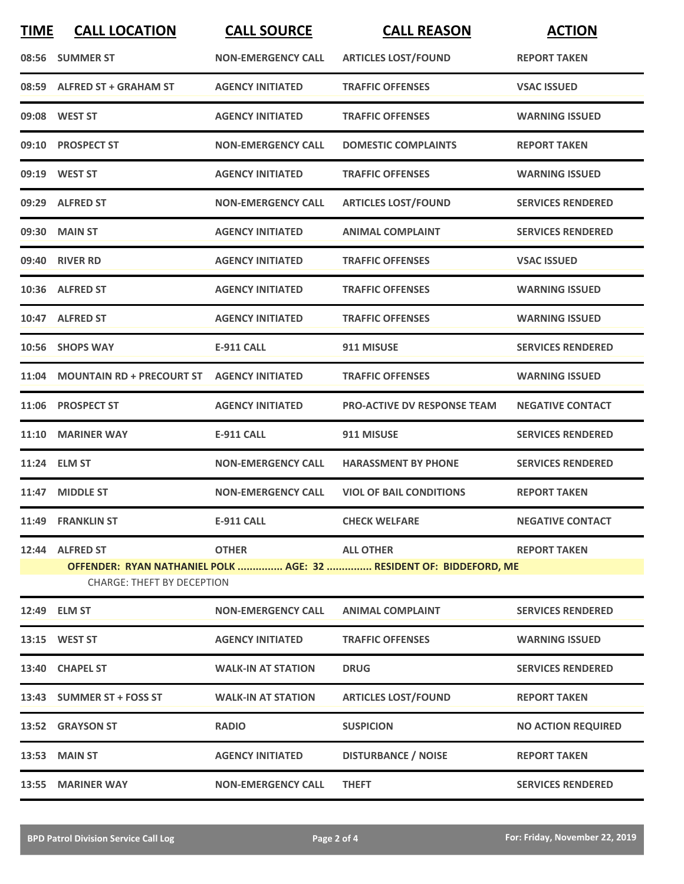| <b>TIME</b> | <b>CALL LOCATION</b>                             | <b>CALL SOURCE</b>        | <b>CALL REASON</b>                                                 | <b>ACTION</b>             |
|-------------|--------------------------------------------------|---------------------------|--------------------------------------------------------------------|---------------------------|
|             | 08:56 SUMMER ST                                  | <b>NON-EMERGENCY CALL</b> | <b>ARTICLES LOST/FOUND</b>                                         | <b>REPORT TAKEN</b>       |
|             | 08:59 ALFRED ST + GRAHAM ST                      | <b>AGENCY INITIATED</b>   | <b>TRAFFIC OFFENSES</b>                                            | <b>VSAC ISSUED</b>        |
|             | 09:08 WEST ST                                    | <b>AGENCY INITIATED</b>   | <b>TRAFFIC OFFENSES</b>                                            | <b>WARNING ISSUED</b>     |
|             | 09:10 PROSPECT ST                                | <b>NON-EMERGENCY CALL</b> | <b>DOMESTIC COMPLAINTS</b>                                         | <b>REPORT TAKEN</b>       |
|             | 09:19 WEST ST                                    | <b>AGENCY INITIATED</b>   | <b>TRAFFIC OFFENSES</b>                                            | <b>WARNING ISSUED</b>     |
|             | 09:29 ALFRED ST                                  | <b>NON-EMERGENCY CALL</b> | <b>ARTICLES LOST/FOUND</b>                                         | <b>SERVICES RENDERED</b>  |
|             | 09:30 MAIN ST                                    | <b>AGENCY INITIATED</b>   | <b>ANIMAL COMPLAINT</b>                                            | <b>SERVICES RENDERED</b>  |
|             | 09:40 RIVER RD                                   | <b>AGENCY INITIATED</b>   | <b>TRAFFIC OFFENSES</b>                                            | <b>VSAC ISSUED</b>        |
|             | 10:36 ALFRED ST                                  | <b>AGENCY INITIATED</b>   | <b>TRAFFIC OFFENSES</b>                                            | <b>WARNING ISSUED</b>     |
|             | 10:47 ALFRED ST                                  | <b>AGENCY INITIATED</b>   | <b>TRAFFIC OFFENSES</b>                                            | <b>WARNING ISSUED</b>     |
|             | 10:56 SHOPS WAY                                  | <b>E-911 CALL</b>         | 911 MISUSE                                                         | <b>SERVICES RENDERED</b>  |
|             | 11:04 MOUNTAIN RD + PRECOURT ST AGENCY INITIATED |                           | <b>TRAFFIC OFFENSES</b>                                            | <b>WARNING ISSUED</b>     |
|             | 11:06 PROSPECT ST                                | <b>AGENCY INITIATED</b>   | <b>PRO-ACTIVE DV RESPONSE TEAM</b>                                 | <b>NEGATIVE CONTACT</b>   |
|             | 11:10 MARINER WAY                                | <b>E-911 CALL</b>         | 911 MISUSE                                                         | <b>SERVICES RENDERED</b>  |
|             | 11:24 ELM ST                                     | <b>NON-EMERGENCY CALL</b> | <b>HARASSMENT BY PHONE</b>                                         | <b>SERVICES RENDERED</b>  |
|             | 11:47 MIDDLE ST                                  | <b>NON-EMERGENCY CALL</b> | <b>VIOL OF BAIL CONDITIONS</b>                                     | <b>REPORT TAKEN</b>       |
|             | 11:49 FRANKLIN ST                                | <b>E-911 CALL</b>         | <b>CHECK WELFARE</b>                                               | <b>NEGATIVE CONTACT</b>   |
|             | 12:44 ALFRED ST                                  | <b>OTHER</b>              | <b>ALL OTHER</b>                                                   | <b>REPORT TAKEN</b>       |
|             | <b>CHARGE: THEFT BY DECEPTION</b>                |                           | OFFENDER: RYAN NATHANIEL POLK  AGE: 32  RESIDENT OF: BIDDEFORD, ME |                           |
|             | 12:49 ELM ST                                     | <b>NON-EMERGENCY CALL</b> | <b>ANIMAL COMPLAINT</b>                                            | <b>SERVICES RENDERED</b>  |
|             | 13:15 WEST ST                                    | <b>AGENCY INITIATED</b>   | <b>TRAFFIC OFFENSES</b>                                            | <b>WARNING ISSUED</b>     |
|             | 13:40 CHAPEL ST                                  | <b>WALK-IN AT STATION</b> | <b>DRUG</b>                                                        | <b>SERVICES RENDERED</b>  |
|             | 13:43 SUMMER ST + FOSS ST                        | <b>WALK-IN AT STATION</b> | <b>ARTICLES LOST/FOUND</b>                                         | <b>REPORT TAKEN</b>       |
|             | 13:52 GRAYSON ST                                 | <b>RADIO</b>              | <b>SUSPICION</b>                                                   | <b>NO ACTION REQUIRED</b> |
|             | 13:53 MAIN ST                                    | <b>AGENCY INITIATED</b>   | <b>DISTURBANCE / NOISE</b>                                         | <b>REPORT TAKEN</b>       |
|             | 13:55 MARINER WAY                                | <b>NON-EMERGENCY CALL</b> | <b>THEFT</b>                                                       | <b>SERVICES RENDERED</b>  |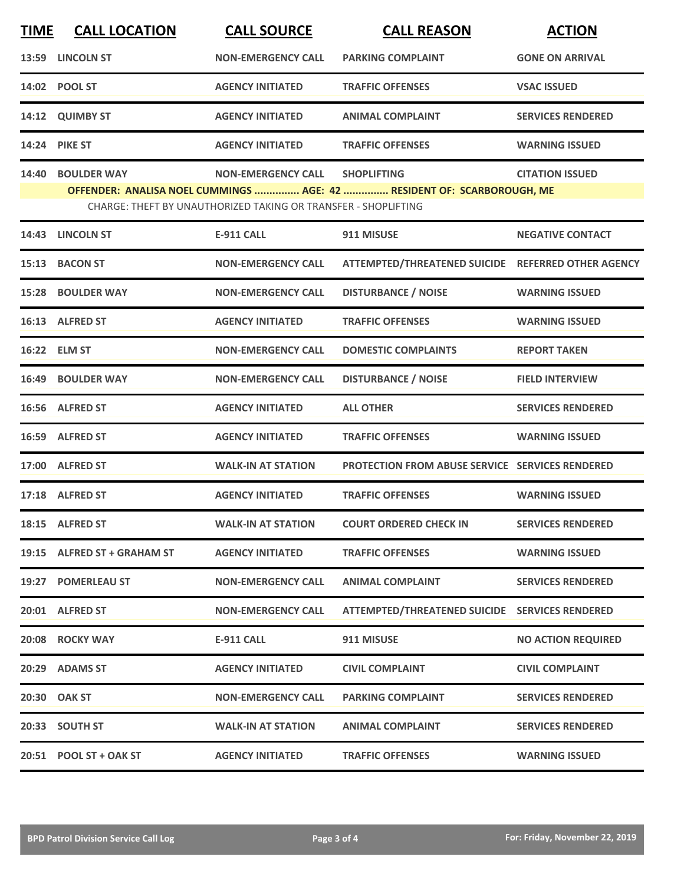| <b>TIME</b> | <b>CALL LOCATION</b>                                                                                                                                                                                                                        | <b>CALL SOURCE</b>        | <b>CALL REASON</b>                                     | <b>ACTION</b>             |  |  |
|-------------|---------------------------------------------------------------------------------------------------------------------------------------------------------------------------------------------------------------------------------------------|---------------------------|--------------------------------------------------------|---------------------------|--|--|
|             | 13:59 LINCOLN ST                                                                                                                                                                                                                            | <b>NON-EMERGENCY CALL</b> | <b>PARKING COMPLAINT</b>                               | <b>GONE ON ARRIVAL</b>    |  |  |
|             | 14:02 POOL ST                                                                                                                                                                                                                               | <b>AGENCY INITIATED</b>   | <b>TRAFFIC OFFENSES</b>                                | <b>VSAC ISSUED</b>        |  |  |
| 14:12       | <b>QUIMBY ST</b>                                                                                                                                                                                                                            | <b>AGENCY INITIATED</b>   | <b>ANIMAL COMPLAINT</b>                                | <b>SERVICES RENDERED</b>  |  |  |
|             | <b>14:24 PIKE ST</b>                                                                                                                                                                                                                        | <b>AGENCY INITIATED</b>   | <b>TRAFFIC OFFENSES</b>                                | <b>WARNING ISSUED</b>     |  |  |
| 14:40       | <b>BOULDER WAY</b><br><b>NON-EMERGENCY CALL</b><br><b>SHOPLIFTING</b><br><b>CITATION ISSUED</b><br>OFFENDER: ANALISA NOEL CUMMINGS  AGE: 42  RESIDENT OF: SCARBOROUGH, ME<br>CHARGE: THEFT BY UNAUTHORIZED TAKING OR TRANSFER - SHOPLIFTING |                           |                                                        |                           |  |  |
|             | 14:43 LINCOLN ST                                                                                                                                                                                                                            | <b>E-911 CALL</b>         | 911 MISUSE                                             | <b>NEGATIVE CONTACT</b>   |  |  |
| 15:13       | <b>BACON ST</b>                                                                                                                                                                                                                             | <b>NON-EMERGENCY CALL</b> | ATTEMPTED/THREATENED SUICIDE REFERRED OTHER AGENCY     |                           |  |  |
|             | 15:28 BOULDER WAY                                                                                                                                                                                                                           | <b>NON-EMERGENCY CALL</b> | <b>DISTURBANCE / NOISE</b>                             | <b>WARNING ISSUED</b>     |  |  |
|             | 16:13 ALFRED ST                                                                                                                                                                                                                             | <b>AGENCY INITIATED</b>   | <b>TRAFFIC OFFENSES</b>                                | <b>WARNING ISSUED</b>     |  |  |
|             | 16:22 ELM ST                                                                                                                                                                                                                                | <b>NON-EMERGENCY CALL</b> | <b>DOMESTIC COMPLAINTS</b>                             | <b>REPORT TAKEN</b>       |  |  |
|             | <b>16:49 BOULDER WAY</b>                                                                                                                                                                                                                    | <b>NON-EMERGENCY CALL</b> | <b>DISTURBANCE / NOISE</b>                             | <b>FIELD INTERVIEW</b>    |  |  |
|             | 16:56 ALFRED ST                                                                                                                                                                                                                             | <b>AGENCY INITIATED</b>   | <b>ALL OTHER</b>                                       | <b>SERVICES RENDERED</b>  |  |  |
| 16:59       | <b>ALFRED ST</b>                                                                                                                                                                                                                            | <b>AGENCY INITIATED</b>   | <b>TRAFFIC OFFENSES</b>                                | <b>WARNING ISSUED</b>     |  |  |
|             | 17:00 ALFRED ST                                                                                                                                                                                                                             | <b>WALK-IN AT STATION</b> | <b>PROTECTION FROM ABUSE SERVICE SERVICES RENDERED</b> |                           |  |  |
|             | 17:18 ALFRED ST                                                                                                                                                                                                                             | <b>AGENCY INITIATED</b>   | <b>TRAFFIC OFFENSES</b>                                | <b>WARNING ISSUED</b>     |  |  |
|             | 18:15 ALFRED ST                                                                                                                                                                                                                             | <b>WALK-IN AT STATION</b> | <b>COURT ORDERED CHECK IN</b>                          | <b>SERVICES RENDERED</b>  |  |  |
|             | 19:15 ALFRED ST + GRAHAM ST                                                                                                                                                                                                                 | <b>AGENCY INITIATED</b>   | <b>TRAFFIC OFFENSES</b>                                | <b>WARNING ISSUED</b>     |  |  |
|             | 19:27 POMERLEAU ST                                                                                                                                                                                                                          | <b>NON-EMERGENCY CALL</b> | <b>ANIMAL COMPLAINT</b>                                | <b>SERVICES RENDERED</b>  |  |  |
|             | 20:01 ALFRED ST                                                                                                                                                                                                                             | <b>NON-EMERGENCY CALL</b> | ATTEMPTED/THREATENED SUICIDE SERVICES RENDERED         |                           |  |  |
|             | 20:08 ROCKY WAY                                                                                                                                                                                                                             | E-911 CALL                | 911 MISUSE                                             | <b>NO ACTION REQUIRED</b> |  |  |
|             | 20:29 ADAMS ST                                                                                                                                                                                                                              | <b>AGENCY INITIATED</b>   | <b>CIVIL COMPLAINT</b>                                 | <b>CIVIL COMPLAINT</b>    |  |  |
|             | 20:30 OAK ST                                                                                                                                                                                                                                | <b>NON-EMERGENCY CALL</b> | <b>PARKING COMPLAINT</b>                               | <b>SERVICES RENDERED</b>  |  |  |
|             | 20:33 SOUTH ST                                                                                                                                                                                                                              | <b>WALK-IN AT STATION</b> | <b>ANIMAL COMPLAINT</b>                                | <b>SERVICES RENDERED</b>  |  |  |
|             | 20:51 POOL ST + OAK ST                                                                                                                                                                                                                      | <b>AGENCY INITIATED</b>   | <b>TRAFFIC OFFENSES</b>                                | <b>WARNING ISSUED</b>     |  |  |